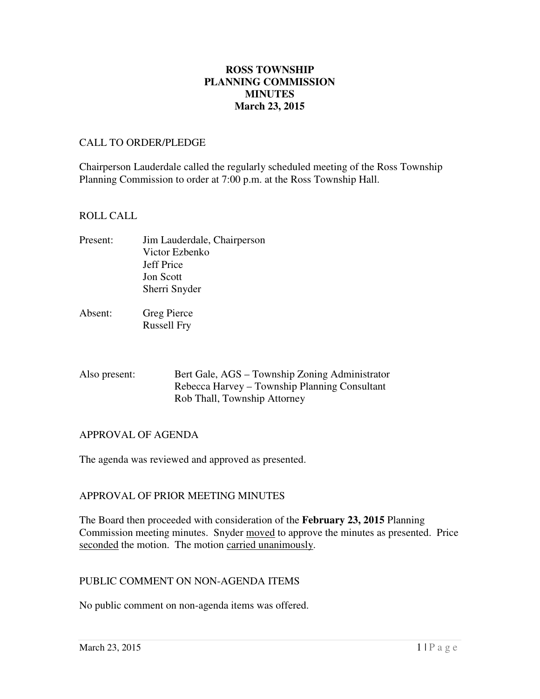### **March 23, 2015 ROSS TOWNSHIP PLANNING COMMISSION MINUTES**

#### CALL TO ORDER/PLEDGE

 Chairperson Lauderdale called the regularly scheduled meeting of the Ross Township Planning Commission to order at 7:00 p.m. at the Ross Township Hall.

#### ROLL CALL

- Present: Jon Scott Sherri Snyder Jim Lauderdale, Chairperson Victor Ezbenko Jeff Price
- Absent: Russell Fry Greg Pierce

| Also present: | Bert Gale, AGS – Township Zoning Administrator |
|---------------|------------------------------------------------|
|               | Rebecca Harvey – Township Planning Consultant  |
|               | Rob Thall, Township Attorney                   |

# APPROVAL OF AGENDA

The agenda was reviewed and approved as presented.

# APPROVAL OF PRIOR MEETING MINUTES

 The Board then proceeded with consideration of the **February 23, 2015** Planning Commission meeting minutes. Snyder moved to approve the minutes as presented. Price seconded the motion. The motion carried unanimously.

#### PUBLIC COMMENT ON NON-AGENDA ITEMS

No public comment on non-agenda items was offered.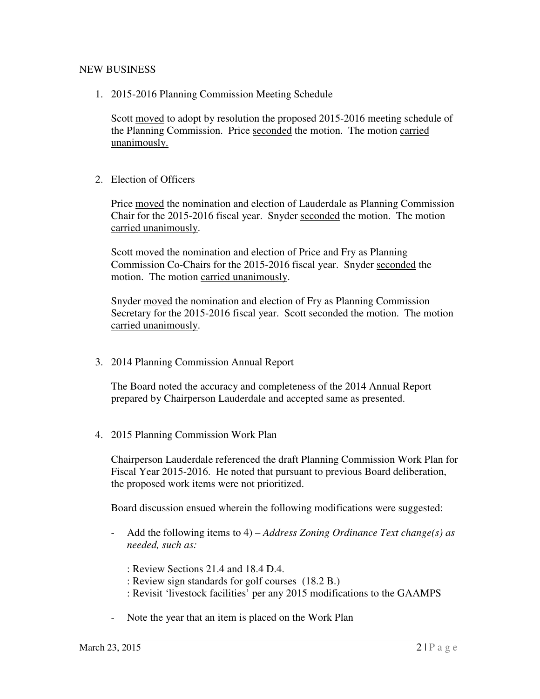# NEW BUSINESS

1. 2015-2016 Planning Commission Meeting Schedule

Scott moved to adopt by resolution the proposed 2015-2016 meeting schedule of the Planning Commission. Price seconded the motion. The motion carried unanimously.

2. Election of Officers

Price moved the nomination and election of Lauderdale as Planning Commission Chair for the 2015-2016 fiscal year. Snyder seconded the motion. The motion carried unanimously.

Scott moved the nomination and election of Price and Fry as Planning Commission Co-Chairs for the 2015-2016 fiscal year. Snyder seconded the motion. The motion carried unanimously.

Snyder moved the nomination and election of Fry as Planning Commission Secretary for the 2015-2016 fiscal year. Scott seconded the motion. The motion carried unanimously.

3. 2014 Planning Commission Annual Report

 The Board noted the accuracy and completeness of the 2014 Annual Report prepared by Chairperson Lauderdale and accepted same as presented.

4. 2015 Planning Commission Work Plan

 Chairperson Lauderdale referenced the draft Planning Commission Work Plan for Fiscal Year 2015-2016. He noted that pursuant to previous Board deliberation, the proposed work items were not prioritized.

Board discussion ensued wherein the following modifications were suggested:

- - Add the following items to 4) *Address Zoning Ordinance Text change(s) as needed, such as:* 
	- : Review Sections 21.4 and 18.4 D.4.
	- : Review sign standards for golf courses (18.2 B.)
	- : Revisit 'livestock facilities' per any 2015 modifications to the GAAMPS
- Note the year that an item is placed on the Work Plan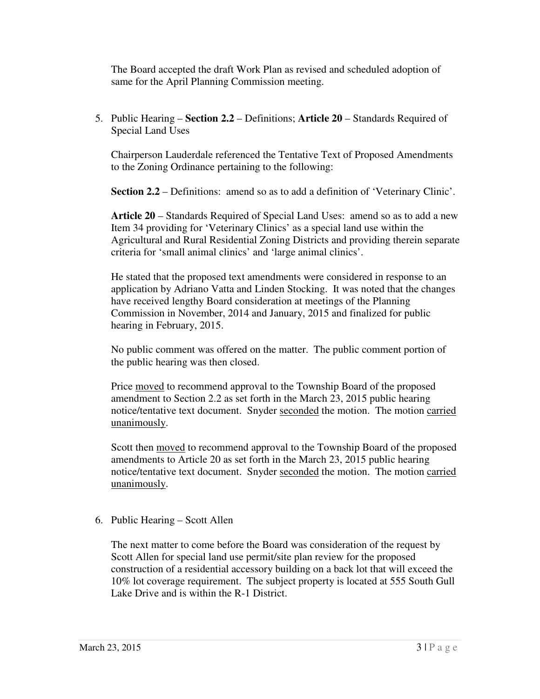The Board accepted the draft Work Plan as revised and scheduled adoption of same for the April Planning Commission meeting.

 5. Public Hearing – **Section 2.2** – Definitions; **Article 20** – Standards Required of Special Land Uses

 Chairperson Lauderdale referenced the Tentative Text of Proposed Amendments to the Zoning Ordinance pertaining to the following:

**Section 2.2** – Definitions: amend so as to add a definition of 'Veterinary Clinic'.

 **Article 20** – Standards Required of Special Land Uses: amend so as to add a new Item 34 providing for 'Veterinary Clinics' as a special land use within the Agricultural and Rural Residential Zoning Districts and providing therein separate criteria for 'small animal clinics' and 'large animal clinics'.

 He stated that the proposed text amendments were considered in response to an application by Adriano Vatta and Linden Stocking. It was noted that the changes have received lengthy Board consideration at meetings of the Planning Commission in November, 2014 and January, 2015 and finalized for public hearing in February, 2015.

 No public comment was offered on the matter. The public comment portion of the public hearing was then closed.

Price moved to recommend approval to the Township Board of the proposed amendment to Section 2.2 as set forth in the March 23, 2015 public hearing notice/tentative text document. Snyder seconded the motion. The motion carried unanimously.

Scott then moved to recommend approval to the Township Board of the proposed amendments to Article 20 as set forth in the March 23, 2015 public hearing notice/tentative text document. Snyder seconded the motion. The motion carried unanimously.

6. Public Hearing – Scott Allen

 The next matter to come before the Board was consideration of the request by Scott Allen for special land use permit/site plan review for the proposed construction of a residential accessory building on a back lot that will exceed the 10% lot coverage requirement. The subject property is located at 555 South Gull Lake Drive and is within the R-1 District.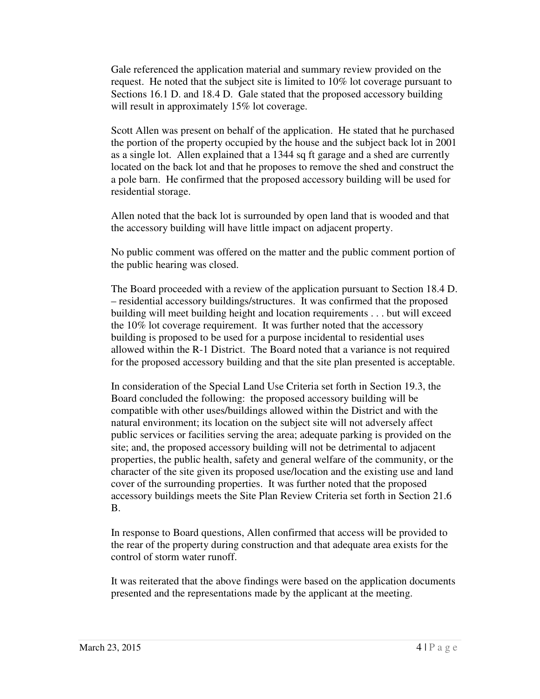Gale referenced the application material and summary review provided on the request. He noted that the subject site is limited to 10% lot coverage pursuant to Sections 16.1 D. and 18.4 D. Gale stated that the proposed accessory building will result in approximately 15% lot coverage.

 Scott Allen was present on behalf of the application. He stated that he purchased the portion of the property occupied by the house and the subject back lot in 2001 as a single lot. Allen explained that a 1344 sq ft garage and a shed are currently located on the back lot and that he proposes to remove the shed and construct the a pole barn. He confirmed that the proposed accessory building will be used for residential storage.

 Allen noted that the back lot is surrounded by open land that is wooded and that the accessory building will have little impact on adjacent property.

 No public comment was offered on the matter and the public comment portion of the public hearing was closed.

 The Board proceeded with a review of the application pursuant to Section 18.4 D. – residential accessory buildings/structures. It was confirmed that the proposed building will meet building height and location requirements . . . but will exceed the 10% lot coverage requirement. It was further noted that the accessory building is proposed to be used for a purpose incidental to residential uses allowed within the R-1 District. The Board noted that a variance is not required for the proposed accessory building and that the site plan presented is acceptable.

 In consideration of the Special Land Use Criteria set forth in Section 19.3, the Board concluded the following: the proposed accessory building will be compatible with other uses/buildings allowed within the District and with the natural environment; its location on the subject site will not adversely affect public services or facilities serving the area; adequate parking is provided on the site; and, the proposed accessory building will not be detrimental to adjacent properties, the public health, safety and general welfare of the community, or the character of the site given its proposed use/location and the existing use and land cover of the surrounding properties. It was further noted that the proposed accessory buildings meets the Site Plan Review Criteria set forth in Section 21.6 B.

 In response to Board questions, Allen confirmed that access will be provided to the rear of the property during construction and that adequate area exists for the control of storm water runoff.

 It was reiterated that the above findings were based on the application documents presented and the representations made by the applicant at the meeting.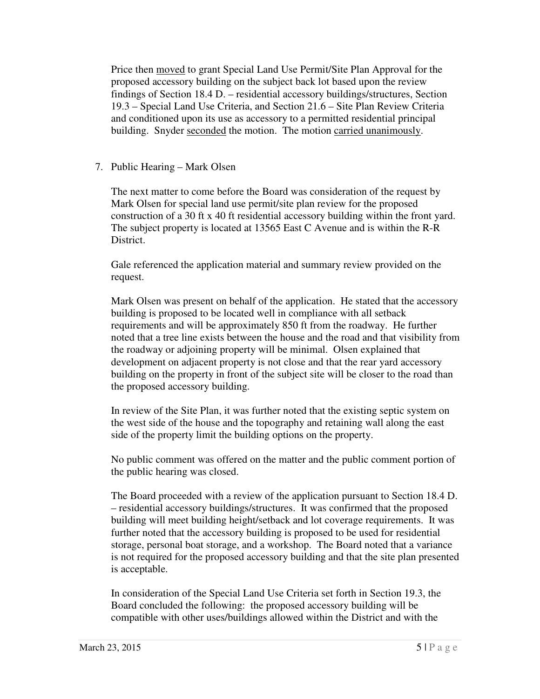Price then **moved** to grant Special Land Use Permit/Site Plan Approval for the proposed accessory building on the subject back lot based upon the review findings of Section 18.4 D. – residential accessory buildings/structures, Section 19.3 – Special Land Use Criteria, and Section 21.6 – Site Plan Review Criteria and conditioned upon its use as accessory to a permitted residential principal building. Snyder seconded the motion. The motion carried unanimously.

7. Public Hearing – Mark Olsen

 The next matter to come before the Board was consideration of the request by Mark Olsen for special land use permit/site plan review for the proposed construction of a 30 ft x 40 ft residential accessory building within the front yard. The subject property is located at 13565 East C Avenue and is within the R-R District.

 Gale referenced the application material and summary review provided on the request.

request.<br>Mark Olsen was present on behalf of the application. He stated that the accessory building is proposed to be located well in compliance with all setback requirements and will be approximately 850 ft from the roadway. He further noted that a tree line exists between the house and the road and that visibility from the roadway or adjoining property will be minimal. Olsen explained that development on adjacent property is not close and that the rear yard accessory building on the property in front of the subject site will be closer to the road than the proposed accessory building.

 In review of the Site Plan, it was further noted that the existing septic system on the west side of the house and the topography and retaining wall along the east side of the property limit the building options on the property.

 No public comment was offered on the matter and the public comment portion of the public hearing was closed.

 The Board proceeded with a review of the application pursuant to Section 18.4 D. – residential accessory buildings/structures. It was confirmed that the proposed building will meet building height/setback and lot coverage requirements. It was further noted that the accessory building is proposed to be used for residential storage, personal boat storage, and a workshop. The Board noted that a variance is not required for the proposed accessory building and that the site plan presented is acceptable.

 In consideration of the Special Land Use Criteria set forth in Section 19.3, the Board concluded the following: the proposed accessory building will be compatible with other uses/buildings allowed within the District and with the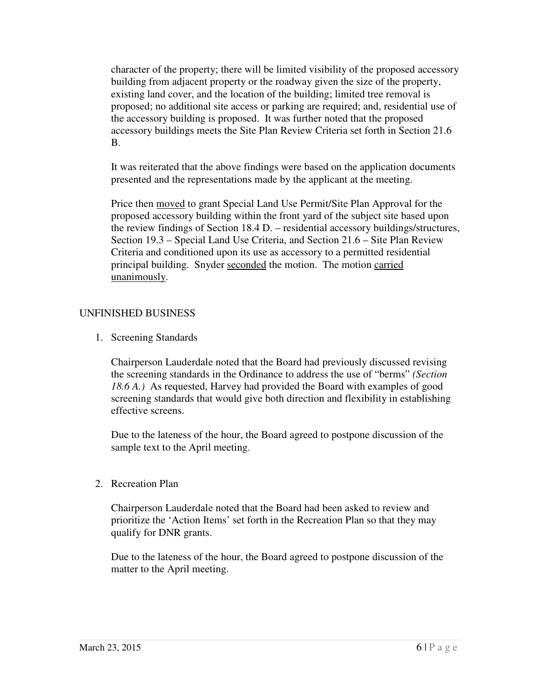character of the property; there will be limited visibility of the proposed accessory building from adjacent property or the roadway given the size of the property, existing land cover, and the location of the building; limited tree removal is proposed; no additional site access or parking are required; and, residential use of the accessory building is proposed. It was further noted that the proposed accessory buildings meets the Site Plan Review Criteria set forth in Section 21.6 B.

 It was reiterated that the above findings were based on the application documents presented and the representations made by the applicant at the meeting.

Price then **moved** to grant Special Land Use Permit/Site Plan Approval for the proposed accessory building within the front yard of the subject site based upon the review findings of Section 18.4 D. – residential accessory buildings/structures, Section 19.3 – Special Land Use Criteria, and Section 21.6 – Site Plan Review Criteria and conditioned upon its use as accessory to a permitted residential principal building. Snyder seconded the motion. The motion carried unanimously.

# UNFINISHED BUSINESS

1. Screening Standards

 Chairperson Lauderdale noted that the Board had previously discussed revising the screening standards in the Ordinance to address the use of "berms" *(Section 18.6 A.)* As requested, Harvey had provided the Board with examples of good screening standards that would give both direction and flexibility in establishing effective screens.

 Due to the lateness of the hour, the Board agreed to postpone discussion of the sample text to the April meeting.

2. Recreation Plan

 Chairperson Lauderdale noted that the Board had been asked to review and prioritize the 'Action Items' set forth in the Recreation Plan so that they may qualify for DNR grants.

 Due to the lateness of the hour, the Board agreed to postpone discussion of the matter to the April meeting.